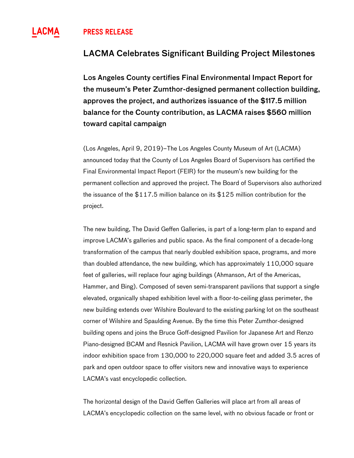## **^ PRESS RELEASE**

## LACMA Celebrates Significant Building Project Milestones

Los Angeles County certifies Final Environmental Impact Report for the museum's Peter Zumthor-designed permanent collection building, approves the project, and authorizes issuance of the \$117.5 million balance for the County contribution, as LACMA raises \$560 million toward capital campaign

(Los Angeles, April 9, 2019)–The Los Angeles County Museum of Art (LACMA) announced today that the County of Los Angeles Board of Supervisors has certified the Final Environmental Impact Report (FEIR) for the museum's new building for the permanent collection and approved the project. The Board of Supervisors also authorized the issuance of the \$117.5 million balance on its \$125 million contribution for the project.

The new building, The David Geffen Galleries, is part of a long-term plan to expand and improve LACMA's galleries and public space. As the final component of a decade-long transformation of the campus that nearly doubled exhibition space, programs, and more than doubled attendance, the new building, which has approximately 110,000 square feet of galleries, will replace four aging buildings (Ahmanson, Art of the Americas, Hammer, and Bing). Composed of seven semi-transparent pavilions that support a single elevated, organically shaped exhibition level with a floor-to-ceiling glass perimeter, the new building extends over Wilshire Boulevard to the existing parking lot on the southeast corner of Wilshire and Spaulding Avenue. By the time this Peter Zumthor-designed building opens and joins the Bruce Goff-designed Pavilion for Japanese Art and Renzo Piano-designed BCAM and Resnick Pavilion, LACMA will have grown over 15 years its indoor exhibition space from 130,000 to 220,000 square feet and added 3.5 acres of park and open outdoor space to offer visitors new and innovative ways to experience LACMA's vast encyclopedic collection.

The horizontal design of the David Geffen Galleries will place art from all areas of LACMA's encyclopedic collection on the same level, with no obvious facade or front or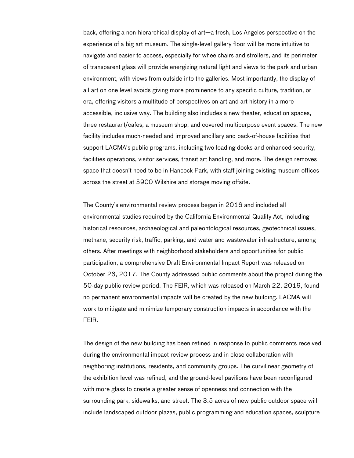back, offering a non-hierarchical display of art—a fresh, Los Angeles perspective on the experience of a big art museum. The single-level gallery floor will be more intuitive to navigate and easier to access, especially for wheelchairs and strollers, and its perimeter of transparent glass will provide energizing natural light and views to the park and urban environment, with views from outside into the galleries. Most importantly, the display of all art on one level avoids giving more prominence to any specific culture, tradition, or era, offering visitors a multitude of perspectives on art and art history in a more accessible, inclusive way. The building also includes a new theater, education spaces, three restaurant/cafes, a museum shop, and covered multipurpose event spaces. The new facility includes much-needed and improved ancillary and back-of-house facilities that support LACMA's public programs, including two loading docks and enhanced security, facilities operations, visitor services, transit art handling, and more. The design removes space that doesn't need to be in Hancock Park, with staff joining existing museum offices across the street at 5900 Wilshire and storage moving offsite.

The County's environmental review process began in 2016 and included all environmental studies required by the California Environmental Quality Act, including historical resources, archaeological and paleontological resources, geotechnical issues, methane, security risk, traffic, parking, and water and wastewater infrastructure, among others. After meetings with neighborhood stakeholders and opportunities for public participation, a comprehensive Draft Environmental Impact Report was released on October 26, 2017. The County addressed public comments about the project during the 50-day public review period. The FEIR, which was released on March 22, 2019, found no permanent environmental impacts will be created by the new building. LACMA will work to mitigate and minimize temporary construction impacts in accordance with the FEIR.

The design of the new building has been refined in response to public comments received during the environmental impact review process and in close collaboration with neighboring institutions, residents, and community groups. The curvilinear geometry of the exhibition level was refined, and the ground-level pavilions have been reconfigured with more glass to create a greater sense of openness and connection with the surrounding park, sidewalks, and street. The 3.5 acres of new public outdoor space will include landscaped outdoor plazas, public programming and education spaces, sculpture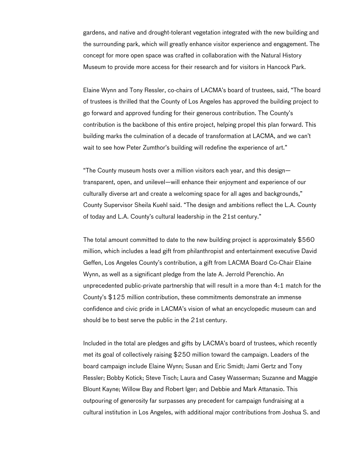gardens, and native and drought-tolerant vegetation integrated with the new building and the surrounding park, which will greatly enhance visitor experience and engagement. The concept for more open space was crafted in collaboration with the Natural History Museum to provide more access for their research and for visitors in Hancock Park.

Elaine Wynn and Tony Ressler, co-chairs of LACMA's board of trustees, said, "The board of trustees is thrilled that the County of Los Angeles has approved the building project to go forward and approved funding for their generous contribution. The County's contribution is the backbone of this entire project, helping propel this plan forward. This building marks the culmination of a decade of transformation at LACMA, and we can't wait to see how Peter Zumthor's building will redefine the experience of art."

"The County museum hosts over a million visitors each year, and this design transparent, open, and unilevel—will enhance their enjoyment and experience of our culturally diverse art and create a welcoming space for all ages and backgrounds," County Supervisor Sheila Kuehl said. "The design and ambitions reflect the L.A. County of today and L.A. County's cultural leadership in the 21st century."

The total amount committed to date to the new building project is approximately \$560 million, which includes a lead gift from philanthropist and entertainment executive David Geffen, Los Angeles County's contribution, a gift from LACMA Board Co-Chair Elaine Wynn, as well as a significant pledge from the late A. Jerrold Perenchio. An unprecedented public-private partnership that will result in a more than 4:1 match for the County's \$125 million contribution, these commitments demonstrate an immense confidence and civic pride in LACMA's vision of what an encyclopedic museum can and should be to best serve the public in the 21st century.

Included in the total are pledges and gifts by LACMA's board of trustees, which recently met its goal of collectively raising \$250 million toward the campaign. Leaders of the board campaign include Elaine Wynn; Susan and Eric Smidt; Jami Gertz and Tony Ressler; Bobby Kotick; Steve Tisch; Laura and Casey Wasserman; Suzanne and Maggie Blount Kayne; Willow Bay and Robert Iger; and Debbie and Mark Attanasio. This outpouring of generosity far surpasses any precedent for campaign fundraising at a cultural institution in Los Angeles, with additional major contributions from Joshua S. and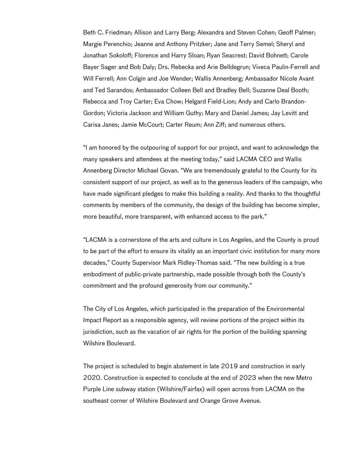Beth C. Friedman; Allison and Larry Berg; Alexandra and Steven Cohen; Geoff Palmer; Margie Perenchio; Jeanne and Anthony Pritzker; Jane and Terry Semel; Sheryl and Jonathan Sokoloff; Florence and Harry Sloan; Ryan Seacrest; David Bohnett; Carole Bayer Sager and Bob Daly; Drs. Rebecka and Arie Belldegrun; Viveca Paulin-Ferrell and Will Ferrell; Ann Colgin and Joe Wender; Wallis Annenberg; Ambassador Nicole Avant and Ted Sarandos; Ambassador Colleen Bell and Bradley Bell; Suzanne Deal Booth; Rebecca and Troy Carter; Eva Chow; Helgard Field-Lion; Andy and Carlo Brandon-Gordon; Victoria Jackson and William Guthy; Mary and Daniel James; Jay Levitt and Carisa Janes; Jamie McCourt; Carter Reum; Ann Ziff; and numerous others.

"I am honored by the outpouring of support for our project, and want to acknowledge the many speakers and attendees at the meeting today," said LACMA CEO and Wallis Annenberg Director Michael Govan. "We are tremendously grateful to the County for its consistent support of our project, as well as to the generous leaders of the campaign, who have made significant pledges to make this building a reality. And thanks to the thoughtful comments by members of the community, the design of the building has become simpler, more beautiful, more transparent, with enhanced access to the park."

"LACMA is a cornerstone of the arts and culture in Los Angeles, and the County is proud to be part of the effort to ensure its vitality as an important civic institution for many more decades," County Supervisor Mark Ridley-Thomas said. "The new building is a true embodiment of public-private partnership, made possible through both the County's commitment and the profound generosity from our community."

The City of Los Angeles, which participated in the preparation of the Environmental Impact Report as a responsible agency, will review portions of the project within its jurisdiction, such as the vacation of air rights for the portion of the building spanning Wilshire Boulevard.

The project is scheduled to begin abatement in late 2019 and construction in early 2020. Construction is expected to conclude at the end of 2023 when the new Metro Purple Line subway station (Wilshire/Fairfax) will open across from LACMA on the southeast corner of Wilshire Boulevard and Orange Grove Avenue.